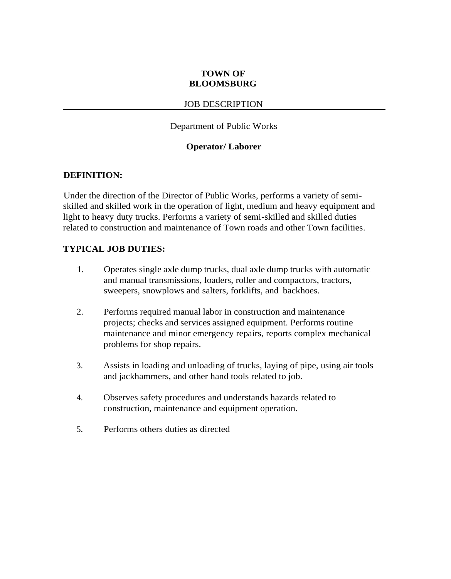# **TOWN OF BLOOMSBURG**

### JOB DESCRIPTION

### Department of Public Works

### **Operator/ Laborer**

### **DEFINITION:**

Under the direction of the Director of Public Works, performs a variety of semiskilled and skilled work in the operation of light, medium and heavy equipment and light to heavy duty trucks. Performs a variety of semi-skilled and skilled duties related to construction and maintenance of Town roads and other Town facilities.

### **TYPICAL JOB DUTIES:**

- 1. Operates single axle dump trucks, dual axle dump trucks with automatic and manual transmissions, loaders, roller and compactors, tractors, sweepers, snowplows and salters, forklifts, and backhoes.
- 2. Performs required manual labor in construction and maintenance projects; checks and services assigned equipment. Performs routine maintenance and minor emergency repairs, reports complex mechanical problems for shop repairs.
- 3. Assists in loading and unloading of trucks, laying of pipe, using air tools and jackhammers, and other hand tools related to job.
- 4. Observes safety procedures and understands hazards related to construction, maintenance and equipment operation.
- 5. Performs others duties as directed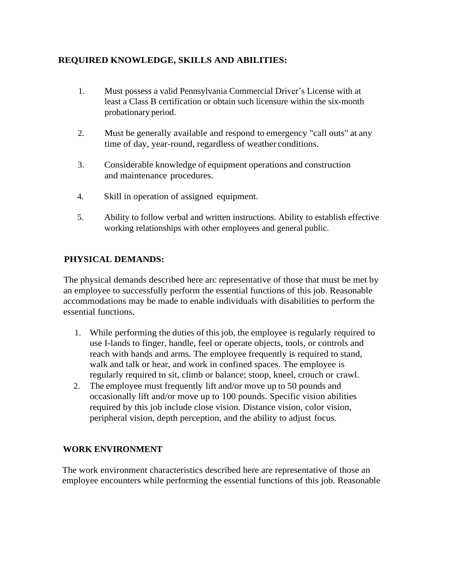# **REQUIRED KNOWLEDGE, SKILLS AND ABILITIES:**

- 1. Must possess a valid Pennsylvania Commercial Driver's License with at least a Class B certification or obtain such licensure within the six-month probationary period.
- 2. Must be generally available and respond to emergency "call outs" at any time of day, year-round, regardless of weather conditions.
- 3. Considerable knowledge of equipment operations and construction and maintenance procedures.
- 4. Skill in operation of assigned equipment.
- 5. Ability to follow verbal and written instructions. Ability to establish effective working relationships with other employees and general public.

# **PHYSICAL DEMANDS:**

The physical demands described here arc representative of those that must be met by an employee to successfully perform the essential functions of this job. Reasonable accommodations may be made to enable individuals with disabilities to perform the essential functions.

- 1. While performing the duties of thisjob, the employee is regularly required to use I-lands to finger, handle, feel or operate objects, tools, or controls and reach with hands and arms. The employee frequently is required to stand, walk and talk or hear, and work in confined spaces. The employee is regularly required to sit, climb or balance; stoop, kneel, crouch or crawl.
- 2. The employee must frequently lift and/or move up to 50 pounds and occasionally lift and/or move up to 100 pounds. Specific vision abilities required by this job include close vision. Distance vision, color vision, peripheral vision, depth perception, and the ability to adjust focus.

# **WORK ENVIRONMENT**

The work environment characteristics described here are representative of those an employee encounters while performing the essential functions of this job. Reasonable